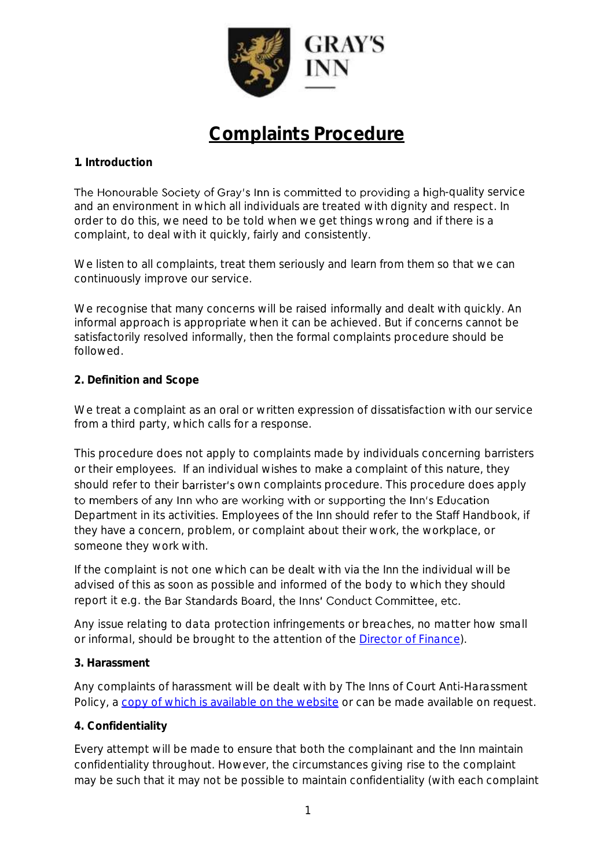

# **Complaints Procedure**

## **1. Introduction**

The Honourable Society of Gray's Inn is committed to providing a high-quality service and an environment in which all individuals are treated with dignity and respect. In order to do this, we need to be told when we get things wrong and if there is a complaint, to deal with it quickly, fairly and consistently.

We listen to all complaints, treat them seriously and learn from them so that we can continuously improve our service.

We recognise that many concerns will be raised informally and dealt with quickly. An informal approach is appropriate when it can be achieved. But if concerns cannot be satisfactorily resolved informally, then the formal complaints procedure should be followed.

## **2. Definition and Scope**

We treat a complaint as an oral or written expression of dissatisfaction with our service from a third party, which calls for a response.

This procedure does not apply to complaints made by individuals concerning barristers or their employees. If an individual wishes to make a complaint of this nature, they should refer to their barrister's own complaints procedure. This procedure does apply to members of any Inn who are working with or supporting the Inn's Education Department in its activities. Employees of the Inn should refer to the Staff Handbook, if they have a concern, problem, or complaint about their work, the workplace, or someone they work with.

If the complaint is not one which can be dealt with via the Inn the individual will be advised of this as soon as possible and informed of the body to which they should report it e.g. the Bar Standards Board, the Inns' Conduct Committee, etc.

*Any issue relating to data protection infringements or breaches, no matter how small or informal, should be brought to the attention of the [Director of Finance\)](https://www.graysinn.org.uk/data-privacy-notice#contact).* 

## **3. Harassment**

Any complaints of harassment will be dealt with by *The Inns of Court Anti-Harassment Policy,* a [copy of which is available on the website](https://www.graysinn.org.uk/members/support-and-wellbeing-the-bar) or can be made available on request.

## **4. Confidentiality**

Every attempt will be made to ensure that both the complainant and the Inn maintain confidentiality throughout. However, the circumstances giving rise to the complaint may be such that it may not be possible to maintain confidentiality (with each complaint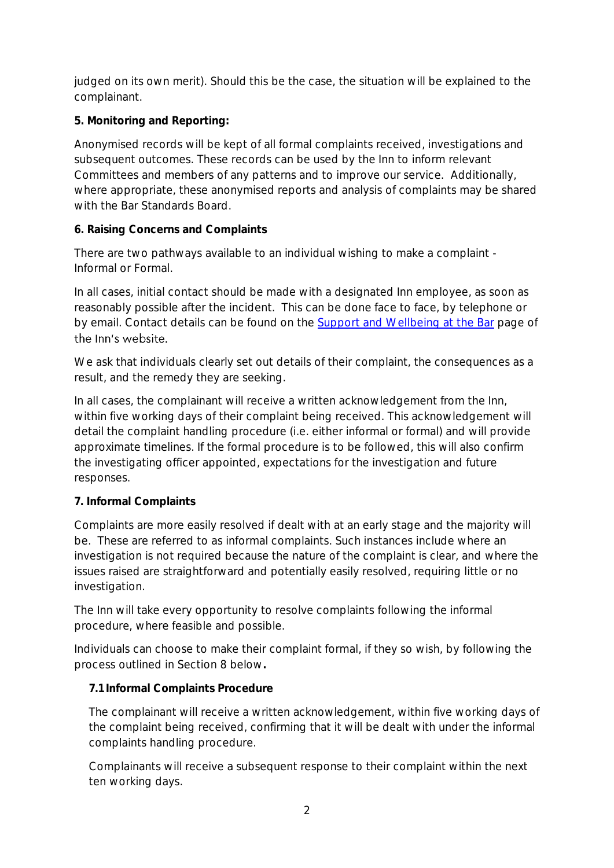judged on its own merit). Should this be the case, the situation will be explained to the complainant.

**5. Monitoring and Reporting:**

Anonymised records will be kept of all formal complaints received, investigations and subsequent outcomes. These records can be used by the Inn to inform relevant Committees and members of any patterns and to improve our service. Additionally, where appropriate, these anonymised reports and analysis of complaints may be shared with the Bar Standards Board.

**6. Raising Concerns and Complaints**

There are two pathways available to an individual wishing to make a complaint - Informal or Formal.

In all cases, initial contact should be made with a designated Inn employee, as soon as reasonably possible after the incident. This can be done face to face, by telephone or by email. Contact details can be found on the [Support and Wellbeing at the Bar](https://www.graysinn.org.uk/members/support-and-wellbeing-the-bar) page of the Inn's website.

We ask that individuals clearly set out details of their complaint, the consequences as a result, and the remedy they are seeking.

In all cases, the complainant will receive a written acknowledgement from the Inn, within five working days of their complaint being received. This acknowledgement will detail the complaint handling procedure (i.e. either informal or formal) and will provide approximate timelines. If the formal procedure is to be followed, this will also confirm the investigating officer appointed, expectations for the investigation and future responses.

# **7. Informal Complaints**

Complaints are more easily resolved if dealt with at an early stage and the majority will be. These are referred to as informal complaints. Such instances include where an investigation is not required because the nature of the complaint is clear, and where the issues raised are straightforward and potentially easily resolved, requiring little or no investigation.

The Inn will take every opportunity to resolve complaints following the informal procedure, where feasible and possible.

Individuals can choose to make their complaint formal, if they so wish, by following the process outlined in Section 8 below**.**

# **7.1 Informal Complaints Procedure**

The complainant will receive a written acknowledgement, within five working days of the complaint being received, confirming that it will be dealt with under the informal complaints handling procedure.

Complainants will receive a subsequent response to their complaint within the next ten working days.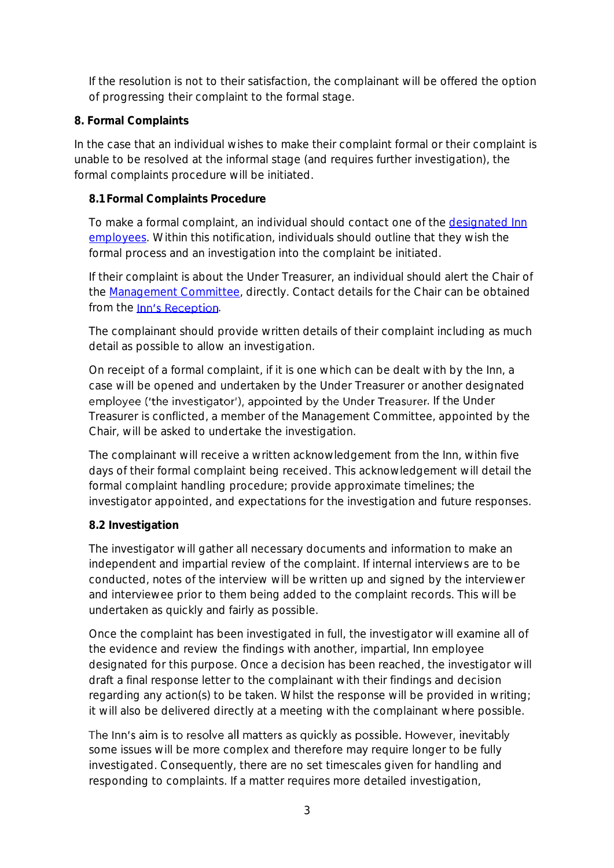If the resolution is not to their satisfaction, the complainant will be offered the option of progressing their complaint to the formal stage.

## **8. Formal Complaints**

In the case that an individual wishes to make their complaint formal or their complaint is unable to be resolved at the informal stage (and requires further investigation), the formal complaints procedure will be initiated.

## **8.1 Formal Complaints Procedure**

To make a formal complaint, an individual should contact one of the [designated Inn](https://www.graysinn.org.uk/members/support-and-wellbeing-the-bar)  [employees.](https://www.graysinn.org.uk/members/support-and-wellbeing-the-bar) Within this notification, individuals should outline that they wish the formal process and an investigation into the complaint be initiated.

If their complaint is about the Under Treasurer, an individual should alert the Chair of the [Management Committee,](https://www.graysinn.org.uk/the-inn/who-we-are/management-committee) directly. Contact details for the Chair can be obtained from the Inn's Reception.

The complainant should provide written details of their complaint including as much detail as possible to allow an investigation.

On receipt of a formal complaint, if it is one which can be dealt with by the Inn, a case will be opened and undertaken by the Under Treasurer or another designated employee ('the investigator'), appointed by the Under Treasurer. If the Under Treasurer is conflicted, a member of the Management Committee, appointed by the Chair, will be asked to undertake the investigation.

The complainant will receive a written acknowledgement from the Inn, within five days of their formal complaint being received. This acknowledgement will detail the formal complaint handling procedure; provide approximate timelines; the investigator appointed, and expectations for the investigation and future responses.

## **8.2 Investigation**

The investigator will gather all necessary documents and information to make an independent and impartial review of the complaint. If internal interviews are to be conducted, notes of the interview will be written up and signed by the interviewer and interviewee prior to them being added to the complaint records. This will be undertaken as quickly and fairly as possible.

Once the complaint has been investigated in full, the investigator will examine all of the evidence and review the findings with another, impartial, Inn employee designated for this purpose. Once a decision has been reached, the investigator will draft a final response letter to the complainant with their findings and decision regarding any action(s) to be taken. Whilst the response will be provided in writing; it will also be delivered directly at a meeting with the complainant where possible.

The Inn's aim is to resolve all matters as quickly as possible. However, inevitably some issues will be more complex and therefore may require longer to be fully investigated. Consequently, there are no set timescales given for handling and responding to complaints. If a matter requires more detailed investigation,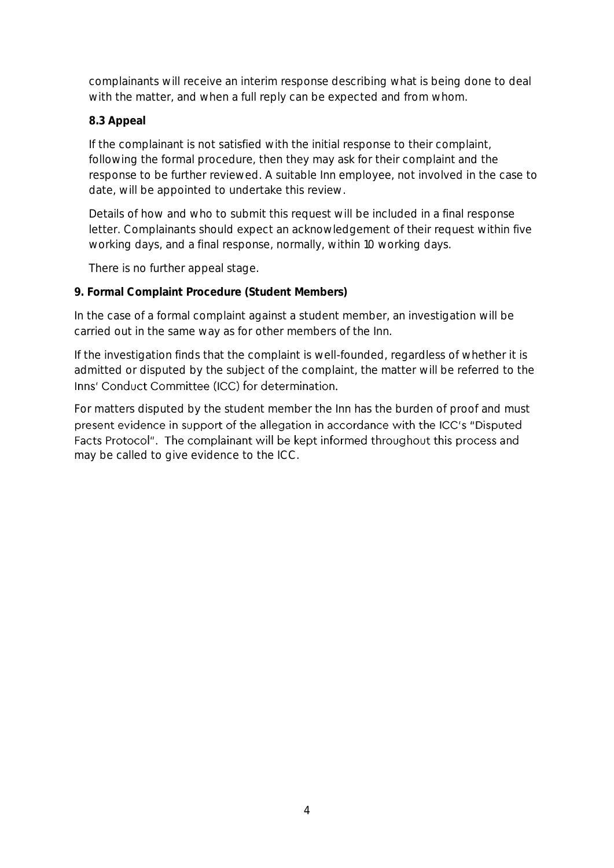complainants will receive an interim response describing what is being done to deal with the matter, and when a full reply can be expected and from whom.

#### **8.3 Appeal**

If the complainant is not satisfied with the initial response to their complaint, following the formal procedure, then they may ask for their complaint and the response to be further reviewed. A suitable Inn employee, not involved in the case to date, will be appointed to undertake this review.

Details of how and who to submit this request will be included in a final response letter. Complainants should expect an acknowledgement of their request within five working days, and a final response, normally, within 10 working days.

There is no further appeal stage.

#### **9. Formal Complaint Procedure (Student Members)**

In the case of a formal complaint against a student member, an investigation will be carried out in the same way as for other members of the Inn.

If the investigation finds that the complaint is well-founded, regardless of whether it is admitted or disputed by the subject of the complaint, the matter will be referred to the Inns' Conduct Committee (ICC) for determination.

For matters disputed by the student member the Inn has the burden of proof and must present evidence in support of the allegation in accordance with the ICC's "Disputed Facts Protocol". The complainant will be kept informed throughout this process and may be called to give evidence to the ICC.